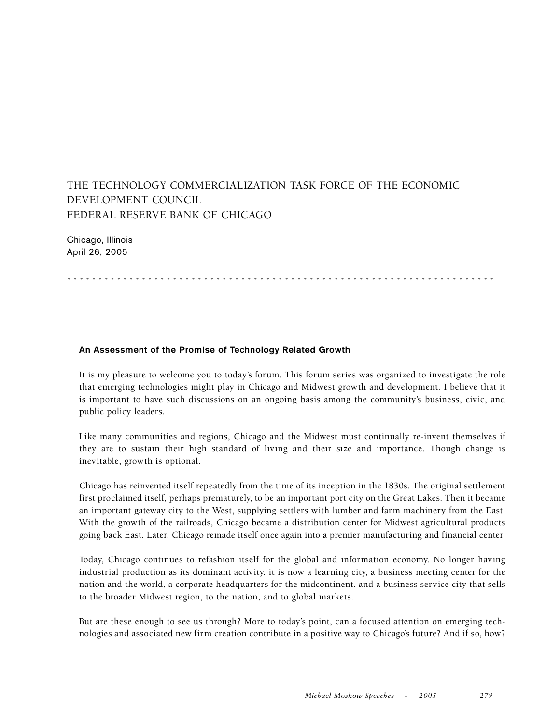## THE TECHNOLOGY COMMERCIALIZATION TASK FORCE OF THE ECONOMIC DEVELOPMENT COUNCIL FEDERAL RESERVE BANK OF CHICAGO

Chicago, Illinois April 26, 2005

.....................................................................

## **An Assessment of the Promise of Technology Related Growth**

It is my pleasure to welcome you to today's forum. This forum series was organized to investigate the role that emerging technologies might play in Chicago and Midwest growth and development. I believe that it is important to have such discussions on an ongoing basis among the community's business, civic, and public policy leaders.

Like many communities and regions, Chicago and the Midwest must continually re-invent themselves if they are to sustain their high standard of living and their size and importance. Though change is inevitable, growth is optional.

Chicago has reinvented itself repeatedly from the time of its inception in the 1830s. The original settlement first proclaimed itself, perhaps prematurely, to be an important port city on the Great Lakes. Then it became an important gateway city to the West, supplying settlers with lumber and farm machinery from the East. With the growth of the railroads, Chicago became a distribution center for Midwest agricultural products going back East. Later, Chicago remade itself once again into a premier manufacturing and financial center.

Today, Chicago continues to refashion itself for the global and information economy. No longer having industrial production as its dominant activity, it is now a learning city, a business meeting center for the nation and the world, a corporate headquarters for the midcontinent, and a business service city that sells to the broader Midwest region, to the nation, and to global markets.

But are these enough to see us through? More to today's point, can a focused attention on emerging technologies and associated new firm creation contribute in a positive way to Chicago's future? And if so, how?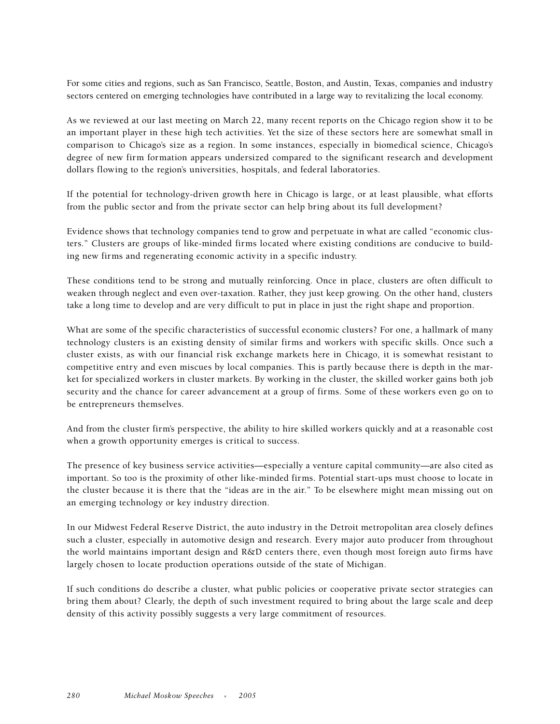For some cities and regions, such as San Francisco, Seattle, Boston, and Austin, Texas, companies and industry sectors centered on emerging technologies have contributed in a large way to revitalizing the local economy.

As we reviewed at our last meeting on March 22, many recent reports on the Chicago region show it to be an important player in these high tech activities. Yet the size of these sectors here are somewhat small in comparison to Chicago's size as a region. In some instances, especially in biomedical science, Chicago's degree of new firm formation appears undersized compared to the significant research and development dollars flowing to the region's universities, hospitals, and federal laboratories.

If the potential for technology-driven growth here in Chicago is large, or at least plausible, what efforts from the public sector and from the private sector can help bring about its full development?

Evidence shows that technology companies tend to grow and perpetuate in what are called "economic clusters." Clusters are groups of like-minded firms located where existing conditions are conducive to building new firms and regenerating economic activity in a specific industry.

These conditions tend to be strong and mutually reinforcing. Once in place, clusters are often difficult to weaken through neglect and even over-taxation. Rather, they just keep growing. On the other hand, clusters take a long time to develop and are very difficult to put in place in just the right shape and proportion.

What are some of the specific characteristics of successful economic clusters? For one, a hallmark of many technology clusters is an existing density of similar firms and workers with specific skills. Once such a cluster exists, as with our financial risk exchange markets here in Chicago, it is somewhat resistant to competitive entry and even miscues by local companies. This is partly because there is depth in the market for specialized workers in cluster markets. By working in the cluster, the skilled worker gains both job security and the chance for career advancement at a group of firms. Some of these workers even go on to be entrepreneurs themselves.

And from the cluster firm's perspective, the ability to hire skilled workers quickly and at a reasonable cost when a growth opportunity emerges is critical to success.

The presence of key business service activities—especially a venture capital community—are also cited as important. So too is the proximity of other like-minded firms. Potential start-ups must choose to locate in the cluster because it is there that the "ideas are in the air." To be elsewhere might mean missing out on an emerging technology or key industry direction.

In our Midwest Federal Reserve District, the auto industry in the Detroit metropolitan area closely defines such a cluster, especially in automotive design and research. Every major auto producer from throughout the world maintains important design and R&D centers there, even though most foreign auto firms have largely chosen to locate production operations outside of the state of Michigan.

If such conditions do describe a cluster, what public policies or cooperative private sector strategies can bring them about? Clearly, the depth of such investment required to bring about the large scale and deep density of this activity possibly suggests a very large commitment of resources.